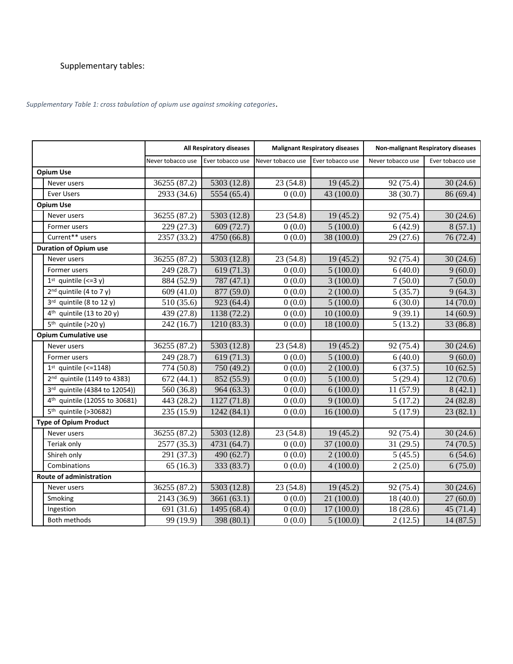## Supplementary tables:

*Supplementary Table 1: cross tabulation of opium use against smoking categories*.

|                              |                                           | All Respiratory diseases |                  | <b>Malignant Respiratory diseases</b> |                  | Non-malignant Respiratory diseases |                  |  |
|------------------------------|-------------------------------------------|--------------------------|------------------|---------------------------------------|------------------|------------------------------------|------------------|--|
|                              |                                           | Never tobacco use        | Ever tobacco use | Never tobacco use                     | Ever tobacco use | Never tobacco use                  | Ever tobacco use |  |
| <b>Opium Use</b>             |                                           |                          |                  |                                       |                  |                                    |                  |  |
|                              | Never users                               | 36255 (87.2)             | 5303 (12.8)      | 23(54.8)                              | 19(45.2)         | 92 (75.4)                          | 30(24.6)         |  |
|                              | <b>Ever Users</b>                         | 2933 (34.6)              | 5554 (65.4)      | 0(0.0)                                | 43 (100.0)       | 38 (30.7)                          | 86 (69.4)        |  |
| <b>Opium Use</b>             |                                           |                          |                  |                                       |                  |                                    |                  |  |
|                              | Never users                               | 36255 (87.2)             | 5303 (12.8)      | 23(54.8)                              | 19(45.2)         | 92 (75.4)                          | 30(24.6)         |  |
|                              | Former users                              | 229 (27.3)               | 609 (72.7)       | 0(0.0)                                | 5(100.0)         | 6(42.9)                            | 8(57.1)          |  |
|                              | Current** users                           | 2357 (33.2)              | 4750 (66.8)      | 0(0.0)                                | 38 (100.0)       | 29(27.6)                           | 76 (72.4)        |  |
|                              | <b>Duration of Opium use</b>              |                          |                  |                                       |                  |                                    |                  |  |
|                              | Never users                               | 36255 (87.2)             | 5303 (12.8)      | 23(54.8)                              | 19(45.2)         | 92 (75.4)                          | 30(24.6)         |  |
|                              | Former users                              | 249 (28.7)               | 619 (71.3)       | 0(0.0)                                | 5(100.0)         | 6(40.0)                            | 9(60.0)          |  |
|                              | $1st$ quintile (<=3 y)                    | 884 (52.9)               | 787 (47.1)       | 0(0.0)                                | 3(100.0)         | 7(50.0)                            | 7(50.0)          |  |
|                              | $2nd$ quintile (4 to 7 y)                 | 609 (41.0)               | 877 (59.0)       | 0(0.0)                                | 2(100.0)         | 5(35.7)                            | 9(64.3)          |  |
|                              | $3rd$ quintile (8 to 12 y)                | 510 (35.6)               | 923 (64.4)       | 0(0.0)                                | 5(100.0)         | 6(30.0)                            | 14(70.0)         |  |
|                              | $4th$ quintile (13 to 20 y)               | 439 (27.8)               | 1138 (72.2)      | 0(0.0)                                | 10(100.0)        | 9(39.1)                            | 14(60.9)         |  |
|                              | 5 <sup>th</sup> quintile (>20 y)          | 242 (16.7)               | 1210 (83.3)      | 0(0.0)                                | 18 (100.0)       | 5(13.2)                            | 33 (86.8)        |  |
| <b>Opium Cumulative use</b>  |                                           |                          |                  |                                       |                  |                                    |                  |  |
|                              | Never users                               | 36255 (87.2)             | 5303 (12.8)      | 23(54.8)                              | 19(45.2)         | 92 (75.4)                          | 30(24.6)         |  |
|                              | Former users                              | 249 (28.7)               | 619(71.3)        | 0(0.0)                                | 5(100.0)         | 6(40.0)                            | 9(60.0)          |  |
|                              | $1st$ quintile (<=1148)                   | 774 (50.8)               | 750 (49.2)       | 0(0.0)                                | 2(100.0)         | 6(37.5)                            | 10(62.5)         |  |
|                              | 2 <sup>nd</sup> quintile (1149 to 4383)   | 672(44.1)                | 852 (55.9)       | 0(0.0)                                | 5(100.0)         | 5(29.4)                            | 12(70.6)         |  |
|                              | 3rd quintile (4384 to 12054))             | 560 (36.8)               | 964 (63.3)       | 0(0.0)                                | 6(100.0)         | 11(57.9)                           | 8(42.1)          |  |
|                              | 4 <sup>th</sup> quintile (12055 to 30681) | 443 (28.2)               | 1127 (71.8)      | 0(0.0)                                | 9(100.0)         | 5(17.2)                            | 24 (82.8)        |  |
|                              | 5 <sup>th</sup> quintile (>30682)         | 235 (15.9)               | 1242 (84.1)      | 0(0.0)                                | 16(100.0)        | 5(17.9)                            | 23(82.1)         |  |
| <b>Type of Opium Product</b> |                                           |                          |                  |                                       |                  |                                    |                  |  |
|                              | Never users                               | 36255 (87.2)             | 5303 (12.8)      | 23(54.8)                              | 19(45.2)         | 92 (75.4)                          | 30(24.6)         |  |
|                              | Teriak only                               | 2577 (35.3)              | 4731 (64.7)      | 0(0.0)                                | 37(100.0)        | 31(29.5)                           | 74 (70.5)        |  |
|                              | Shireh only                               | 291 (37.3)               | 490 (62.7)       | 0(0.0)                                | 2(100.0)         | 5(45.5)                            | 6(54.6)          |  |
|                              | Combinations                              | 65(16.3)                 | 333 (83.7)       | 0(0.0)                                | 4(100.0)         | 2(25.0)                            | 6(75.0)          |  |
| Route of administration      |                                           |                          |                  |                                       |                  |                                    |                  |  |
|                              | Never users                               | 36255 (87.2)             | 5303 (12.8)      | 23(54.8)                              | 19(45.2)         | 92 (75.4)                          | 30(24.6)         |  |
|                              | Smoking                                   | 2143 (36.9)              | 3661(63.1)       | 0(0.0)                                | 21(100.0)        | 18(40.0)                           | 27(60.0)         |  |
|                              | Ingestion                                 | 691 (31.6)               | 1495 (68.4)      | 0(0.0)                                | 17(100.0)        | 18(28.6)                           | 45(71.4)         |  |
|                              | <b>Both methods</b>                       | 99 (19.9)                | 398 (80.1)       | 0(0.0)                                | 5(100.0)         | 2(12.5)                            | 14(87.5)         |  |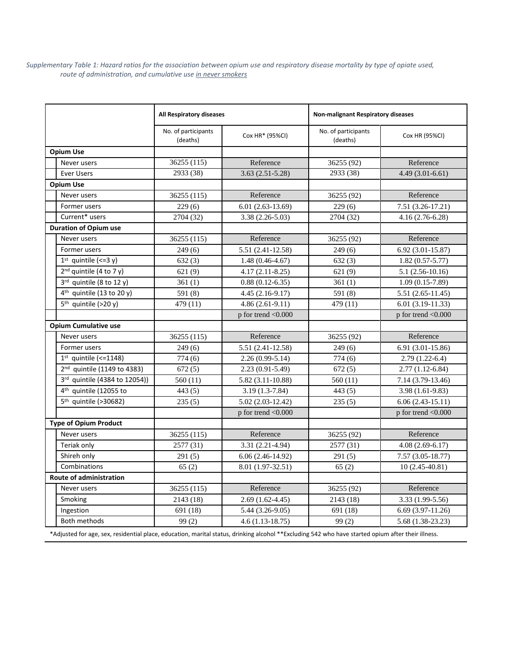*Supplementary Table 1: Hazard ratios for the association between opium use and respiratory disease mortality by type of opiate used, route of administration, and cumulative use in never smokers*

|                                         | All Respiratory diseases        |                         | <b>Non-malignant Respiratory diseases</b> |                            |  |  |
|-----------------------------------------|---------------------------------|-------------------------|-------------------------------------------|----------------------------|--|--|
|                                         | No. of participants<br>(deaths) | Cox HR* (95%CI)         | No. of participants<br>(deaths)           | Cox HR (95%CI)             |  |  |
| <b>Opium Use</b>                        |                                 |                         |                                           |                            |  |  |
| Never users                             | 36255 (115)                     | Reference               | 36255 (92)                                | Reference                  |  |  |
| <b>Ever Users</b>                       | 2933 (38)                       | $3.63(2.51 - 5.28)$     | 2933 (38)                                 | $4.49(3.01-6.61)$          |  |  |
| <b>Opium Use</b>                        |                                 |                         |                                           |                            |  |  |
| Never users                             | 36255 (115)                     | Reference               | 36255 (92)                                | Reference                  |  |  |
| Former users                            | 229(6)                          | $6.01(2.63-13.69)$      | 229(6)                                    | 7.51 (3.26-17.21)          |  |  |
| Current* users                          | 2704 (32)                       | $3.38(2.26-5.03)$       | 2704 (32)                                 | $4.16(2.76-6.28)$          |  |  |
| <b>Duration of Opium use</b>            |                                 |                         |                                           |                            |  |  |
| Never users                             | 36255 (115)                     | Reference               | 36255 (92)                                | Reference                  |  |  |
| Former users                            | 249(6)                          | 5.51 (2.41-12.58)       | 249(6)                                    | $6.92(3.01-15.87)$         |  |  |
| $1st$ quintile (<=3 y)                  | 632(3)                          | $1.48(0.46 - 4.67)$     | 632(3)                                    | $1.82(0.57 - 5.77)$        |  |  |
| $2nd$ quintile (4 to 7 y)               | 621(9)                          | $4.17(2.11-8.25)$       | 621(9)                                    | $5.1(2.56-10.16)$          |  |  |
| $3rd$ quintile (8 to 12 y)              | 361(1)                          | $0.88(0.12-6.35)$       | 361(1)                                    | $1.09(0.15-7.89)$          |  |  |
| $4th$ quintile (13 to 20 y)             | 591 (8)                         | $4.45(2.16-9.17)$       | 591 (8)                                   | $5.51(2.65-11.45)$         |  |  |
| $5th$ quintile (>20 y)                  | 479 (11)                        | $4.86(2.61-9.11)$       | 479 (11)                                  | $6.01(3.19-11.33)$         |  |  |
|                                         |                                 | $p$ for trend < $0.000$ |                                           | p for trend <0.000         |  |  |
| <b>Opium Cumulative use</b>             |                                 |                         |                                           |                            |  |  |
| Never users                             | 36255 (115)                     | Reference               | 36255 (92)                                | Reference                  |  |  |
| Former users                            | 249(6)                          | $5.51(2.41-12.58)$      | 249(6)                                    | $6.91(3.01-15.86)$         |  |  |
| $1st$ quintile (<=1148)                 | 774 (6)                         | $2.26(0.99-5.14)$       | 774(6)                                    | $2.79(1.22-6.4)$           |  |  |
| 2 <sup>nd</sup> quintile (1149 to 4383) | 672(5)                          | $2.23(0.91-5.49)$       | 672(5)                                    | $2.77(1.12-6.84)$          |  |  |
| 3rd quintile (4384 to 12054))           | 560(11)                         | $5.82(3.11-10.88)$      | 560 (11)                                  | 7.14 (3.79-13.46)          |  |  |
| 4 <sup>th</sup> quintile (12055 to      | 443(5)                          | $3.19(1.3-7.84)$        | 443(5)                                    | $3.98(1.61-9.83)$          |  |  |
| 5 <sup>th</sup> quintile (>30682)       | 235(5)                          | $5.02(2.03-12.42)$      | 235(5)                                    | $6.06(2.43-15.11)$         |  |  |
|                                         |                                 | $p$ for trend $< 0.000$ |                                           | $p$ for trend $\leq 0.000$ |  |  |
| <b>Type of Opium Product</b>            |                                 |                         |                                           |                            |  |  |
| Never users                             | 36255 (115)                     | Reference               | 36255 (92)                                | Reference                  |  |  |
| Teriak only                             | 2577 (31)                       | $3.31(2.21-4.94)$       | 2577 (31)                                 | $4.08(2.69-6.17)$          |  |  |
| Shireh only                             | 291(5)                          | $6.06(2.46-14.92)$      | 291(5)                                    | $7.57(3.05-18.77)$         |  |  |
| Combinations                            | 65(2)                           | 8.01 (1.97-32.51)       | 65(2)                                     | $10(2.45-40.81)$           |  |  |
| Route of administration                 |                                 |                         |                                           |                            |  |  |
| Never users                             | 36255 (115)                     | Reference               | 36255 (92)                                | Reference                  |  |  |
| Smoking                                 | 2143 (18)                       | $2.69(1.62-4.45)$       | 2143 (18)                                 | 3.33 (1.99-5.56)           |  |  |
| Ingestion                               | 691 (18)                        | 5.44 (3.26-9.05)        | 691 (18)                                  | $6.69(3.97-11.26)$         |  |  |
| Both methods                            | 99(2)                           | $4.6(1.13-18.75)$       | 99(2)                                     | 5.68 (1.38-23.23)          |  |  |

\*Adjusted for age, sex, residential place, education, marital status, drinking alcohol \*\*Excluding 542 who have started opium after their illness.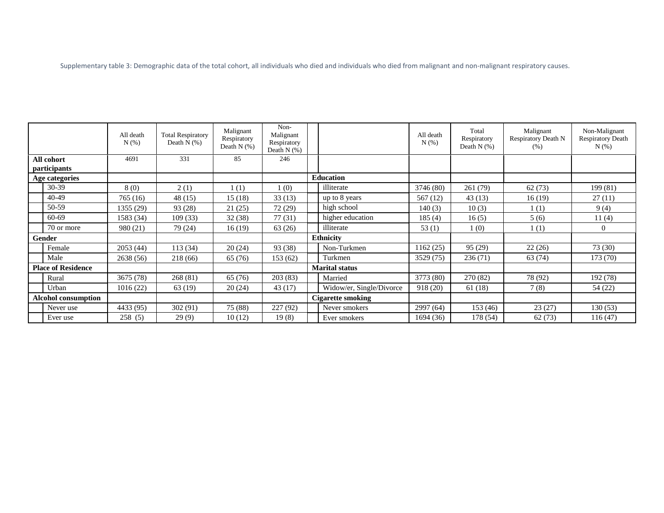Supplementary table 3: Demographic data of the total cohort, all individuals who died and individuals who died from malignant and non-malignant respiratory causes.

|                                   |            | All death<br>$N(\%)$ | <b>Total Respiratory</b><br>Death $N$ (%) | Malignant<br>Respiratory<br>Death $N$ (%) | Non-<br>Malignant<br>Respiratory<br>Death $N$ $(\%)$ |                          |                          | All death<br>N(%) | Total<br>Respiratory<br>Death $N$ $(\%)$ | Malignant<br>Respiratory Death N<br>(% ) | Non-Malignant<br><b>Respiratory Death</b><br>N(% ) |
|-----------------------------------|------------|----------------------|-------------------------------------------|-------------------------------------------|------------------------------------------------------|--------------------------|--------------------------|-------------------|------------------------------------------|------------------------------------------|----------------------------------------------------|
| All cohort<br><i>participants</i> |            | 4691                 | 331                                       | 85                                        | 246                                                  |                          |                          |                   |                                          |                                          |                                                    |
| Age categories                    |            |                      |                                           |                                           |                                                      | <b>Education</b>         |                          |                   |                                          |                                          |                                                    |
|                                   | $30-39$    | 8 (0)                | 2(1)                                      | 1(1)                                      | 1(0)                                                 |                          | illiterate               | 3746 (80)         | 261 (79)                                 | 62(73)                                   | 199 (81)                                           |
|                                   | 40-49      | 765 (16)             | 48 (15)                                   | 15(18)                                    | 33(13)                                               |                          | up to 8 years            | 567(12)           | 43(13)                                   | 16(19)                                   | 27(11)                                             |
|                                   | 50-59      | 1355 (29)            | 93 (28)                                   | 21(25)                                    | 72 (29)                                              |                          | high school              | 140(3)            | 10(3)                                    | 1(1)                                     | 9(4)                                               |
|                                   | 60-69      | 1583 (34)            | 109(33)                                   | 32(38)                                    | 77(31)                                               |                          | higher education         | 185(4)            | 16(5)                                    | 5(6)                                     | 11(4)                                              |
|                                   | 70 or more | 980 (21)             | 79 (24)                                   | 16(19)                                    | 63 (26)                                              |                          | illiterate               | 53 $(1)$          | 1(0)                                     | 1(1)                                     | $\Omega$                                           |
| Gender                            |            |                      |                                           |                                           |                                                      |                          | <b>Ethnicity</b>         |                   |                                          |                                          |                                                    |
|                                   | Female     | 2053(44)             | 113(34)                                   | 20(24)                                    | 93 (38)                                              |                          | Non-Turkmen              | 1162(25)          | 95 (29)                                  | 22(26)                                   | 73 (30)                                            |
|                                   | Male       | 2638 (56)            | 218 (66)                                  | 65 (76)                                   | 153 (62)                                             |                          | Turkmen                  | 3529(75)          | 236(71)                                  | 63 (74)                                  | 173 (70)                                           |
| <b>Place of Residence</b>         |            |                      |                                           |                                           |                                                      |                          | <b>Marital status</b>    |                   |                                          |                                          |                                                    |
|                                   | Rural      | 3675 (78)            | 268 (81)                                  | 65 (76)                                   | 203(83)                                              |                          | Married                  | 3773 (80)         | 270 (82)                                 | 78 (92)                                  | 192 (78)                                           |
|                                   | Urban      | 1016(22)             | 63 (19)                                   | 20(24)                                    | 43 (17)                                              |                          | Widow/er, Single/Divorce | 918 (20)          | 61(18)                                   | 7(8)                                     | 54 (22)                                            |
| <b>Alcohol consumption</b>        |            |                      |                                           |                                           |                                                      | <b>Cigarette smoking</b> |                          |                   |                                          |                                          |                                                    |
|                                   | Never use  | 4433 (95)            | 302 (91)                                  | 75 (88)                                   | 227(92)                                              |                          | Never smokers            | 2997 (64)         | 153 (46)                                 | 23(27)                                   | 130(53)                                            |
|                                   | Ever use   | 258(5)               | 29(9)                                     | 10(12)                                    | 19(8)                                                |                          | Ever smokers             | 1694(36)          | 178 (54)                                 | 62 (73)                                  | 116(47)                                            |